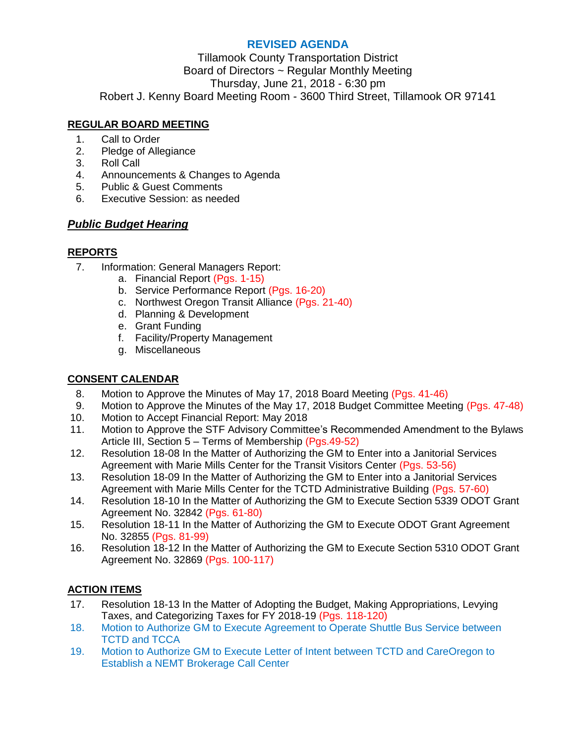#### **REVISED AGENDA**

Tillamook County Transportation District Board of Directors ~ Regular Monthly Meeting Thursday, June 21, 2018 - 6:30 pm Robert J. Kenny Board Meeting Room - 3600 Third Street, Tillamook OR 97141

# **REGULAR BOARD MEETING**

- 1. Call to Order
- 2. Pledge of Allegiance
- 3. Roll Call
- 4. Announcements & Changes to Agenda
- 5. Public & Guest Comments
- 6. Executive Session: as needed

# *Public Budget Hearing*

#### **REPORTS**

- 7. Information: General Managers Report:
	- a. Financial Report (Pgs. 1-15)
	- b. Service Performance Report (Pgs. 16-20)
	- c. Northwest Oregon Transit Alliance (Pgs. 21-40)
	- d. Planning & Development
	- e. Grant Funding
	- f. Facility/Property Management
	- g. Miscellaneous

# **CONSENT CALENDAR**

- 8. Motion to Approve the Minutes of May 17, 2018 Board Meeting (Pgs. 41-46)
- 9. Motion to Approve the Minutes of the May 17, 2018 Budget Committee Meeting (Pgs. 47-48)
- 10. Motion to Accept Financial Report: May 2018
- 11. Motion to Approve the STF Advisory Committee's Recommended Amendment to the Bylaws Article III, Section 5 – Terms of Membership (Pgs.49-52)
- 12. Resolution 18-08 In the Matter of Authorizing the GM to Enter into a Janitorial Services Agreement with Marie Mills Center for the Transit Visitors Center (Pgs. 53-56)
- 13. Resolution 18-09 In the Matter of Authorizing the GM to Enter into a Janitorial Services Agreement with Marie Mills Center for the TCTD Administrative Building (Pgs. 57-60)
- 14. Resolution 18-10 In the Matter of Authorizing the GM to Execute Section 5339 ODOT Grant Agreement No. 32842 (Pgs. 61-80)
- 15. Resolution 18-11 In the Matter of Authorizing the GM to Execute ODOT Grant Agreement No. 32855 (Pgs. 81-99)
- 16. Resolution 18-12 In the Matter of Authorizing the GM to Execute Section 5310 ODOT Grant Agreement No. 32869 (Pgs. 100-117)

# **ACTION ITEMS**

- 17. Resolution 18-13 In the Matter of Adopting the Budget, Making Appropriations, Levying Taxes, and Categorizing Taxes for FY 2018-19 (Pgs. 118-120)
- 18. Motion to Authorize GM to Execute Agreement to Operate Shuttle Bus Service between TCTD and TCCA
- 19. Motion to Authorize GM to Execute Letter of Intent between TCTD and CareOregon to Establish a NEMT Brokerage Call Center